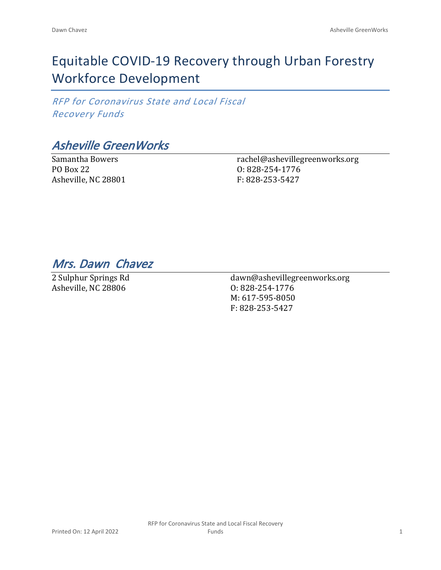## Equitable COVID-19 Recovery through Urban Forestry Workforce Development

*RFP for Coronavirus State and Local Fiscal Recovery Funds*

*Asheville GreenWorks*

Samantha Bowers PO Box 22 Asheville, NC 28801 rachel@ashevillegreenworks.org O: 828-254-1776 F: 828-253-5427

*Mrs. Dawn Chavez* 

2 Sulphur Springs Rd Asheville, NC 28806

dawn@ashevillegreenworks.org O: 828-254-1776 M: 617-595-8050 F: 828-253-5427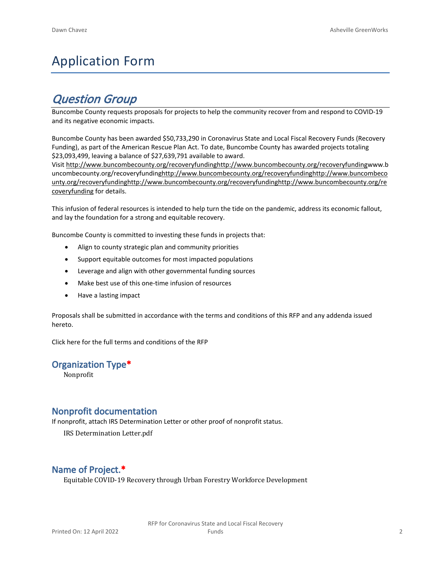# Application Form

## *Question Group*

Buncombe County requests proposals for projects to help the community recover from and respond to COVID-19 and its negative economic impacts.

Buncombe County has been awarded \$50,733,290 in Coronavirus State and Local Fiscal Recovery Funds (Recovery Funding), as part of the American Rescue Plan Act. To date, Buncombe County has awarded projects totaling \$23,093,499, leaving a balance of \$27,639,791 available to award.

Visit [http://www.buncombecounty.org/recoveryfundinghttp://www.buncombecounty.org/recoveryfundingwww.b](http://www.buncombecounty.org/recoveryfunding) [uncombecounty.org/recoveryfundinghttp://www.buncombecounty.org/recoveryfundinghttp://www.buncombeco](http://www.buncombecounty.org/recoveryfunding) [unty.org/recoveryfundinghttp://www.buncombecounty.org/recoveryfundinghttp://www.buncombecounty.org/re](http://www.buncombecounty.org/recoveryfunding) [coveryfunding](http://www.buncombecounty.org/recoveryfunding) for details.

This infusion of federal resources is intended to help turn the tide on the pandemic, address its economic fallout, and lay the foundation for a strong and equitable recovery.

Buncombe County is committed to investing these funds in projects that:

- Align to county strategic plan and community priorities
- Support equitable outcomes for most impacted populations
- Leverage and align with other governmental funding sources
- Make best use of this one-time infusion of resources
- Have a lasting impact

Proposals shall be submitted in accordance with the terms and conditions of this RFP and any addenda issued hereto.

Click [here](https://www.buncombecounty.org/common/purchasing/Buncombe%20Recovery%20Funding%20RFP%202022.pdf) for the full terms and conditions of the RFP

### **Organization Type\***

Nonprofit

### **Nonprofit documentation**

If nonprofit, attach IRS Determination Letter or other proof of nonprofit status.

IRS Determination Letter.pdf

## **Name of Project.\***

Equitable COVID-19 Recovery through Urban Forestry Workforce Development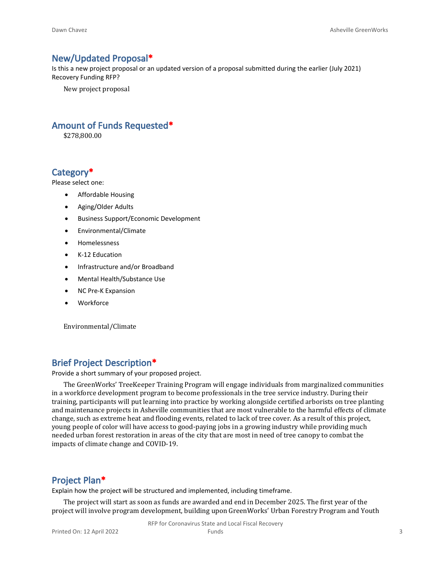#### **New/Updated Proposal\***

Is this a new project proposal or an updated version of a proposal submitted during the earlier (July 2021) Recovery Funding RFP?

New project proposal

#### **Amount of Funds Requested\***

\$278,800.00

#### **Category\***

Please select one:

- Affordable Housing
- Aging/Older Adults
- Business Support/Economic Development
- Environmental/Climate
- Homelessness
- K-12 Education
- Infrastructure and/or Broadband
- Mental Health/Substance Use
- NC Pre-K Expansion
- Workforce

Environmental/Climate

#### **Brief Project Description\***

Provide a short summary of your proposed project.

The GreenWorks' TreeKeeper Training Program will engage individuals from marginalized communities in a workforce development program to become professionals in the tree service industry. During their training, participants will put learning into practice by working alongside certified arborists on tree planting and maintenance projects in Asheville communities that are most vulnerable to the harmful effects of climate change, such as extreme heat and flooding events, related to lack of tree cover. As a result of this project, young people of color will have access to good-paying jobs in a growing industry while providing much needed urban forest restoration in areas of the city that are most in need of tree canopy to combat the impacts of climate change and COVID-19.

### **Project Plan\***

Explain how the project will be structured and implemented, including timeframe.

The project will start as soon as funds are awarded and end in December 2025. The first year of the project will involve program development, building upon GreenWorks' Urban Forestry Program and Youth

RFP for Coronavirus State and Local Fiscal Recovery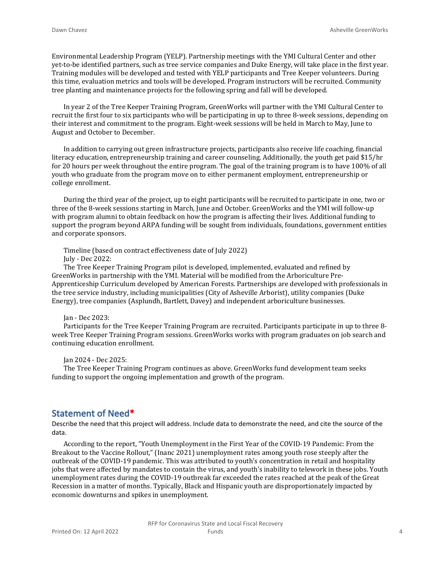Environmental Leadership Program (YELP). Partnership meetings with the YMI Cultural Center and other yet-to-be identified partners, such as tree service companies and Duke Energy, will take place in the first year. Training modules will be developed and tested with YELP participants and Tree Keeper volunteers. During this time, evaluation metrics and tools will be developed. Program instructors will be recruited. Community tree planting and maintenance projects for the following spring and fall will be developed.

In year 2 of the Tree Keeper Training Program, GreenWorks will partner with the YMI Cultural Center to recruit the first four to six participants who will be participating in up to three 8-week sessions, depending on their interest and commitment to the program. Eight-week sessions will be held in March to May, June to August and October to December.

In addition to carrying out green infrastructure projects, participants also receive life coaching, financial literacy education, entrepreneurship training and career counseling. Additionally, the youth get paid \$15/hr for 20 hours per week throughout the entire program. The goal of the training program is to have 100% of all youth who graduate from the program move on to either permanent employment, entrepreneurship or college enrollment.

During the third year of the project, up to eight participants will be recruited to participate in one, two or three of the 8-week sessions starting in March, June and October. GreenWorks and the YMI will follow-up with program alumni to obtain feedback on how the program is affecting their lives. Additional funding to support the program beyond ARPA funding will be sought from individuals, foundations, government entities and corporate sponsors.

Timeline (based on contract effectiveness date of July 2022) July - Dec 2022:

The Tree Keeper Training Program pilot is developed, implemented, evaluated and refined by GreenWorks in partnership with the YMI. Material will be modified from the Arboriculture Pre-Apprenticeship Curriculum developed by American Forests. Partnerships are developed with professionals in the tree service industry, including municipalities (City of Asheville Arborist), utility companies (Duke Energy), tree companies (Asplundh, Bartlett, Davey) and independent arboriculture businesses.

Jan - Dec 2023:

Participants for the Tree Keeper Training Program are recruited. Participants participate in up to three 8 week Tree Keeper Training Program sessions. GreenWorks works with program graduates on job search and continuing education enrollment.

Jan 2024 - Dec 2025:

The Tree Keeper Training Program continues as above. GreenWorks fund development team seeks funding to support the ongoing implementation and growth of the program.

#### **Statement of Need\***

Describe the need that this project will address. Include data to demonstrate the need, and cite the source of the data.

According to the report, "Youth Unemployment in the First Year of the COVID-19 Pandemic: From the Breakout to the Vaccine Rollout," (Inanc 2021) unemployment rates among youth rose steeply after the outbreak of the COVID-19 pandemic. This was attributed to youth's concentration in retail and hospitality jobs that were affected by mandates to contain the virus, and youth's inability to telework in these jobs. Youth unemployment rates during the COVID-19 outbreak far exceeded the rates reached at the peak of the Great Recession in a matter of months. Typically, Black and Hispanic youth are disproportionately impacted by economic downturns and spikes in unemployment.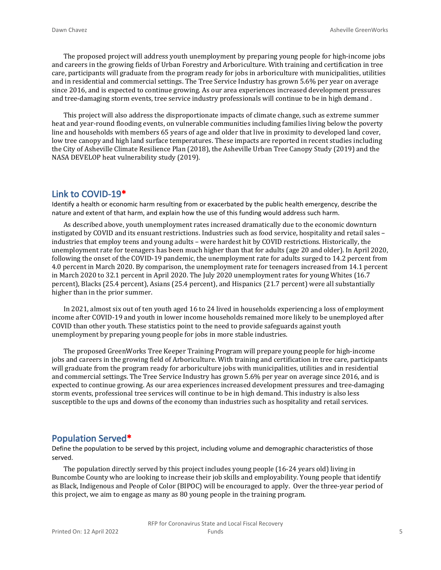The proposed project will address youth unemployment by preparing young people for high-income jobs and careers in the growing fields of Urban Forestry and Arboriculture. With training and certification in tree care, participants will graduate from the program ready for jobs in arboriculture with municipalities, utilities and in residential and commercial settings. The Tree Service Industry has grown 5.6% per year on average since 2016, and is expected to continue growing. As our area experiences increased development pressures and tree-damaging storm events, tree service industry professionals will continue to be in high demand .

This project will also address the disproportionate impacts of climate change, such as extreme summer heat and year-round flooding events, on vulnerable communities including families living below the poverty line and households with members 65 years of age and older that live in proximity to developed land cover, low tree canopy and high land surface temperatures. These impacts are reported in recent studies including the City of Asheville Climate Resilience Plan (2018), the Asheville Urban Tree Canopy Study (2019) and the NASA DEVELOP heat vulnerability study (2019).

#### **Link to COVID-19\***

Identify a health or economic harm resulting from or exacerbated by the public health emergency, describe the nature and extent of that harm, and explain how the use of this funding would address such harm.

As described above, youth unemployment rates increased dramatically due to the economic downturn instigated by COVID and its ensuant restrictions. Industries such as food service, hospitality and retail sales – industries that employ teens and young adults – were hardest hit by COVID restrictions. Historically, the unemployment rate for teenagers has been much higher than that for adults (age 20 and older). In April 2020, following the onset of the COVID-19 pandemic, the unemployment rate for adults surged to 14.2 percent from 4.0 percent in March 2020. By comparison, the unemployment rate for teenagers increased from 14.1 percent in March 2020 to 32.1 percent in April 2020. The July 2020 unemployment rates for young Whites (16.7 percent), Blacks (25.4 percent), Asians (25.4 percent), and Hispanics (21.7 percent) were all substantially higher than in the prior summer.

In 2021, almost six out of ten youth aged 16 to 24 lived in households experiencing a loss of employment income after COVID-19 and youth in lower income households remained more likely to be unemployed after COVID than other youth. These statistics point to the need to provide safeguards against youth unemployment by preparing young people for jobs in more stable industries.

The proposed GreenWorks Tree Keeper Training Program will prepare young people for high-income jobs and careers in the growing field of Arboriculture. With training and certification in tree care, participants will graduate from the program ready for arboriculture jobs with municipalities, utilities and in residential and commercial settings. The Tree Service Industry has grown 5.6% per year on average since 2016, and is expected to continue growing. As our area experiences increased development pressures and tree-damaging storm events, professional tree services will continue to be in high demand. This industry is also less susceptible to the ups and downs of the economy than industries such as hospitality and retail services.

#### **Population Served\***

Define the population to be served by this project, including volume and demographic characteristics of those served.

The population directly served by this project includes young people (16-24 years old) living in Buncombe County who are looking to increase their job skills and employability. Young people that identify as Black, Indigenous and People of Color (BIPOC) will be encouraged to apply. Over the three-year period of this project, we aim to engage as many as 80 young people in the training program.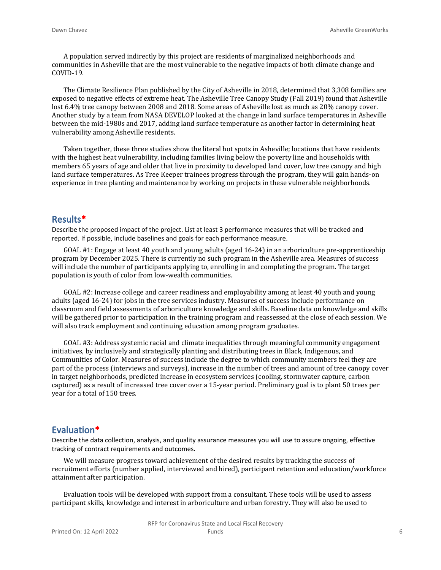A population served indirectly by this project are residents of marginalized neighborhoods and communities in Asheville that are the most vulnerable to the negative impacts of both climate change and COVID-19.

The Climate Resilience Plan published by the City of Asheville in 2018, determined that 3,308 families are exposed to negative effects of extreme heat. The Asheville Tree Canopy Study (Fall 2019) found that Asheville lost 6.4% tree canopy between 2008 and 2018. Some areas of Asheville lost as much as 20% canopy cover. Another study by a team from NASA DEVELOP looked at the change in land surface temperatures in Asheville between the mid-1980s and 2017, adding land surface temperature as another factor in determining heat vulnerability among Asheville residents.

Taken together, these three studies show the literal hot spots in Asheville; locations that have residents with the highest heat vulnerability, including families living below the poverty line and households with members 65 years of age and older that live in proximity to developed land cover, low tree canopy and high land surface temperatures. As Tree Keeper trainees progress through the program, they will gain hands-on experience in tree planting and maintenance by working on projects in these vulnerable neighborhoods.

#### **Results\***

Describe the proposed impact of the project. List at least 3 performance measures that will be tracked and reported. If possible, include baselines and goals for each performance measure.

GOAL #1: Engage at least 40 youth and young adults (aged 16-24) in an arboriculture pre-apprenticeship program by December 2025. There is currently no such program in the Asheville area. Measures of success will include the number of participants applying to, enrolling in and completing the program. The target population is youth of color from low-wealth communities.

GOAL #2: Increase college and career readiness and employability among at least 40 youth and young adults (aged 16-24) for jobs in the tree services industry. Measures of success include performance on classroom and field assessments of arboriculture knowledge and skills. Baseline data on knowledge and skills will be gathered prior to participation in the training program and reassessed at the close of each session. We will also track employment and continuing education among program graduates.

GOAL #3: Address systemic racial and climate inequalities through meaningful community engagement initiatives, by inclusively and strategically planting and distributing trees in Black, Indigenous, and Communities of Color. Measures of success include the degree to which community members feel they are part of the process (interviews and surveys), increase in the number of trees and amount of tree canopy cover in target neighborhoods, predicted increase in ecosystem services (cooling, stormwater capture, carbon captured) as a result of increased tree cover over a 15-year period. Preliminary goal is to plant 50 trees per year for a total of 150 trees.

#### **Evaluation\***

Describe the data collection, analysis, and quality assurance measures you will use to assure ongoing, effective tracking of contract requirements and outcomes.

We will measure progress toward achievement of the desired results by tracking the success of recruitment efforts (number applied, interviewed and hired), participant retention and education/workforce attainment after participation.

Evaluation tools will be developed with support from a consultant. These tools will be used to assess participant skills, knowledge and interest in arboriculture and urban forestry. They will also be used to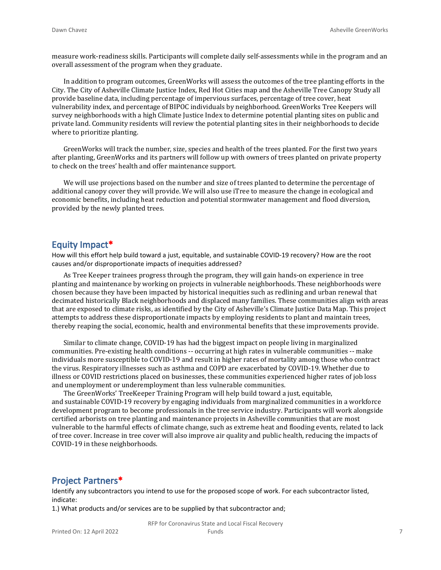measure work-readiness skills. Participants will complete daily self-assessments while in the program and an overall assessment of the program when they graduate.

In addition to program outcomes, GreenWorks will assess the outcomes of the tree planting efforts in the City. The City of Asheville Climate Justice Index, Red Hot Cities map and the Asheville Tree Canopy Study all provide baseline data, including percentage of impervious surfaces, percentage of tree cover, heat vulnerability index, and percentage of BIPOC individuals by neighborhood. GreenWorks Tree Keepers will survey neighborhoods with a high Climate Justice Index to determine potential planting sites on public and private land. Community residents will review the potential planting sites in their neighborhoods to decide where to prioritize planting.

GreenWorks will track the number, size, species and health of the trees planted. For the first two years after planting, GreenWorks and its partners will follow up with owners of trees planted on private property to check on the trees' health and offer maintenance support.

We will use projections based on the number and size of trees planted to determine the percentage of additional canopy cover they will provide. We will also use iTree to measure the change in ecological and economic benefits, including heat reduction and potential stormwater management and flood diversion, provided by the newly planted trees.

#### **Equity Impact\***

How will this effort help build toward a just, equitable, and sustainable COVID-19 recovery? How are the root causes and/or disproportionate impacts of inequities addressed?

As Tree Keeper trainees progress through the program, they will gain hands-on experience in tree planting and maintenance by working on projects in vulnerable neighborhoods. These neighborhoods were chosen because they have been impacted by historical inequities such as redlining and urban renewal that decimated historically Black neighborhoods and displaced many families. These communities align with areas that are exposed to climate risks, as identified by the City of Asheville's Climate Justice Data Map. This project attempts to address these disproportionate impacts by employing residents to plant and maintain trees, thereby reaping the social, economic, health and environmental benefits that these improvements provide.

Similar to climate change, COVID-19 has had the biggest impact on people living in marginalized communities. Pre-existing health conditions -- occurring at high rates in vulnerable communities -- make individuals more susceptible to COVID-19 and result in higher rates of mortality among those who contract the virus. Respiratory illnesses such as asthma and COPD are exacerbated by COVID-19. Whether due to illness or COVID restrictions placed on businesses, these communities experienced higher rates of job loss and unemployment or underemployment than less vulnerable communities.

The GreenWorks' TreeKeeper Training Program will help build toward a just, equitable, and sustainable COVID-19 recovery by engaging individuals from marginalized communities in a workforce development program to become professionals in the tree service industry. Participants will work alongside certified arborists on tree planting and maintenance projects in Asheville communities that are most vulnerable to the harmful effects of climate change, such as extreme heat and flooding events, related to lack of tree cover. Increase in tree cover will also improve air quality and public health, reducing the impacts of COVID-19 in these neighborhoods.

#### **Project Partners\***

Identify any subcontractors you intend to use for the proposed scope of work. For each subcontractor listed, indicate:

1.) What products and/or services are to be supplied by that subcontractor and;

RFP for Coronavirus State and Local Fiscal Recovery Funds 7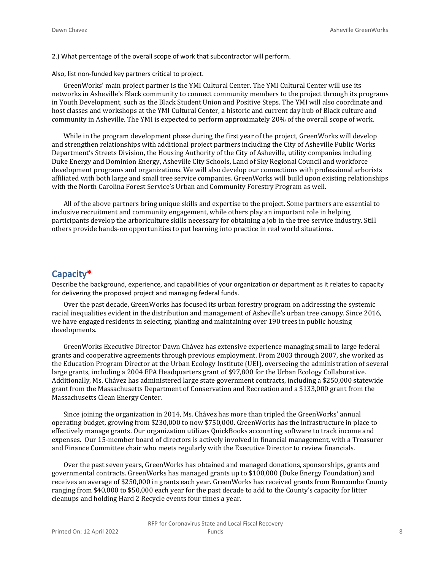2.) What percentage of the overall scope of work that subcontractor will perform.

Also, list non-funded key partners critical to project.

GreenWorks' main project partner is the YMI Cultural Center. The YMI Cultural Center will use its networks in Asheville's Black community to connect community members to the project through its programs in Youth Development, such as the Black Student Union and Positive Steps. The YMI will also coordinate and host classes and workshops at the YMI Cultural Center, a historic and current day hub of Black culture and community in Asheville. The YMI is expected to perform approximately 20% of the overall scope of work.

While in the program development phase during the first year of the project, GreenWorks will develop and strengthen relationships with additional project partners including the City of Asheville Public Works Department's Streets Division, the Housing Authority of the City of Asheville, utility companies including Duke Energy and Dominion Energy, Asheville City Schools, Land of Sky Regional Council and workforce development programs and organizations. We will also develop our connections with professional arborists affiliated with both large and small tree service companies. GreenWorks will build upon existing relationships with the North Carolina Forest Service's Urban and Community Forestry Program as well.

All of the above partners bring unique skills and expertise to the project. Some partners are essential to inclusive recruitment and community engagement, while others play an important role in helping participants develop the arboriculture skills necessary for obtaining a job in the tree service industry. Still others provide hands-on opportunities to put learning into practice in real world situations.

#### **Capacity\***

Describe the background, experience, and capabilities of your organization or department as it relates to capacity for delivering the proposed project and managing federal funds.

Over the past decade, GreenWorks has focused its urban forestry program on addressing the systemic racial inequalities evident in the distribution and management of Asheville's urban tree canopy. Since 2016, we have engaged residents in selecting, planting and maintaining over 190 trees in public housing developments.

GreenWorks Executive Director Dawn Chávez has extensive experience managing small to large federal grants and cooperative agreements through previous employment. From 2003 through 2007, she worked as the Education Program Director at the Urban Ecology Institute (UEI), overseeing the administration of several large grants, including a 2004 EPA Headquarters grant of \$97,800 for the Urban Ecology Collaborative. Additionally, Ms. Chávez has administered large state government contracts, including a \$250,000 statewide grant from the Massachusetts Department of Conservation and Recreation and a \$133,000 grant from the Massachusetts Clean Energy Center.

Since joining the organization in 2014, Ms. Chávez has more than tripled the GreenWorks' annual operating budget, growing from \$230,000 to now \$750,000. GreenWorks has the infrastructure in place to effectively manage grants. Our organization utilizes QuickBooks accounting software to track income and expenses. Our 15-member board of directors is actively involved in financial management, with a Treasurer and Finance Committee chair who meets regularly with the Executive Director to review financials.

Over the past seven years, GreenWorks has obtained and managed donations, sponsorships, grants and governmental contracts. GreenWorks has managed grants up to \$100,000 (Duke Energy Foundation) and receives an average of \$250,000 in grants each year. GreenWorks has received grants from Buncombe County ranging from \$40,000 to \$50,000 each year for the past decade to add to the County's capacity for litter cleanups and holding Hard 2 Recycle events four times a year.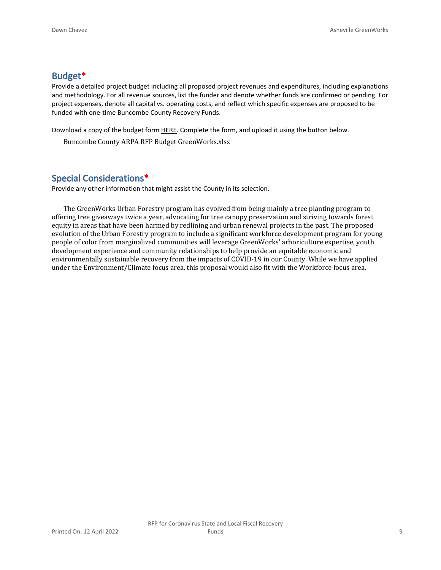#### **Budget\***

Provide a detailed project budget including all proposed project revenues and expenditures, including explanations and methodology. For all revenue sources, list the funder and denote whether funds are confirmed or pending. For project expenses, denote all capital vs. operating costs, and reflect which specific expenses are proposed to be funded with one-time Buncombe County Recovery Funds.

Download a copy of the budget form [HERE](https://buncombecounty.org/common/community-investment/grants/early-childhood-education/Recovery-Funds-budget-template.xlsx). Complete the form, and upload it using the button below.

Buncombe County ARPA RFP Budget GreenWorks.xlsx

## **Special Considerations\***

Provide any other information that might assist the County in its selection.

The GreenWorks Urban Forestry program has evolved from being mainly a tree planting program to offering tree giveaways twice a year, advocating for tree canopy preservation and striving towards forest equity in areas that have been harmed by redlining and urban renewal projects in the past. The proposed evolution of the Urban Forestry program to include a significant workforce development program for young people of color from marginalized communities will leverage GreenWorks' arboriculture expertise, youth development experience and community relationships to help provide an equitable economic and environmentally sustainable recovery from the impacts of COVID-19 in our County. While we have applied under the Environment/Climate focus area, this proposal would also fit with the Workforce focus area.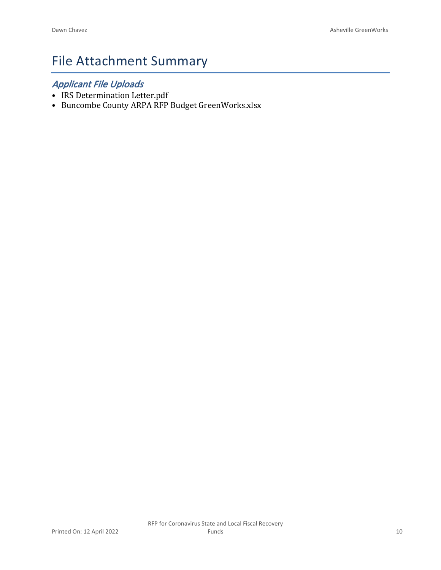## File Attachment Summary

## *Applicant File Uploads*

- IRS Determination Letter.pdf
- Buncombe County ARPA RFP Budget GreenWorks.xlsx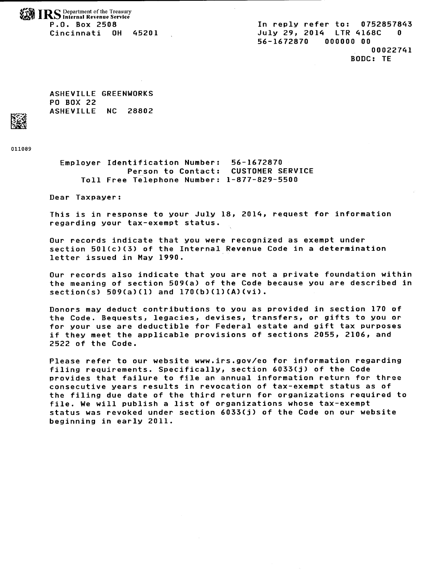**WANTING** Department of the Treasury P.O. Box 2508 Cincinnati OH 45201

In reply refer to: 0752857843 July 29, 2014 LTR 4168C  $\Omega$ 56-1672870 000000 00 00022741 BODC: TE

ASHEVILLE GREENWORKS PO BOX 22 ASHEVILLE NC 28802

011089

Employer Identification Number: 56-1672870 Person to Contact: CUSTOMER SERVICE Toll Free Telephone Number: 1-877-829-5500

Dear Taxpayer:

This is in response to your July 18, 2014, request for information regarding your tax-exempt status.

Our records indicate that you were recognized as exempt under section 501(c)(3) of the Internal Revenue Code in a determination letter issued in May 1990.

Our records also indicate that you are not a private foundation within the meaning of section 509(a) of the Code because you are described in  $section(s) 509(a)(1) and 170(b)(1)(A)(vi).$ 

Donors may deduct contributions to you as provided in section 170 of the Code. Bequests, legacies, devises, transfers, or gifts to you or for your use are deductible for Federal estate and gift tax purposes if they meet the applicable provisions of sections 2055, 2106, and 2522 of the Code.

Please refer to our website www.irs.gov/eo for information regarding filing requirements. Specifically, section 6033(j) of the Code provides that failure to file an annual information return for three consecutive years results in revocation of tax-exempt status as of the filing due date of the third return for organizations required to file. We will publish a list of organizations whose tax-exempt status was revoked under section 6033(j) of the Code on our website beginning in early 2011.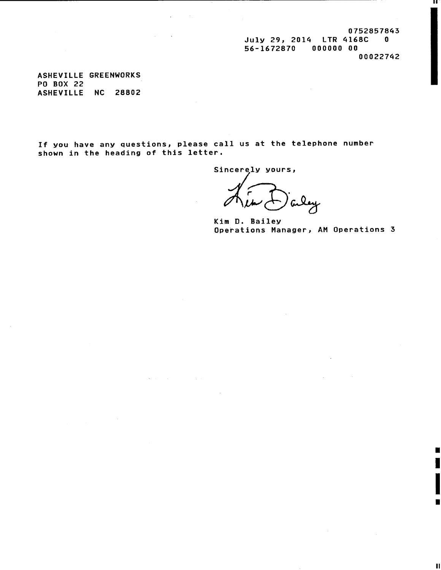0752857843 July 29, 2014 LTR 4168C 0 56-1672870 000000 00

00022742

ш

ASHEVILLE GREENWORKS **PO BOX 22** ASHEVILLE NC 28802

If you have any questions, please call us at the telephone number shown in the heading of this letter.

 $\mathcal{A}_{\mathcal{A}}$  , and  $\mathcal{A}_{\mathcal{A}}$  , and  $\mathcal{A}_{\mathcal{A}}$ 

Sincerely yours,

 $\sim 10^6$ 

Kim D. Bailey Operations Manager, AM Operations 3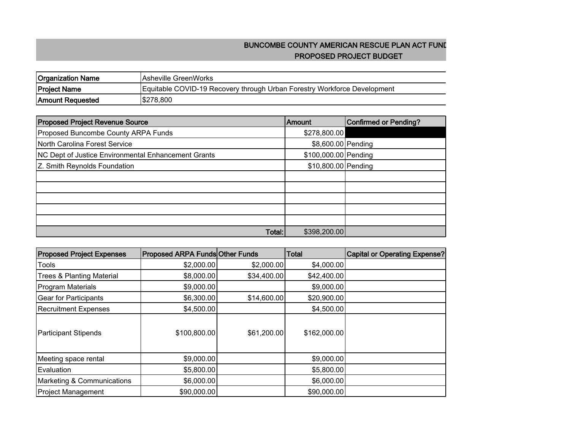## **BUNCOMBE COUNTY AMERICAN RESCUE PLAN ACT FUND PROPOSED PROJECT BUDGET**

| <b>Organization Name</b> | IAsheville GreenWorks                                                    |
|--------------------------|--------------------------------------------------------------------------|
| <b>Project Name</b>      | Equitable COVID-19 Recovery through Urban Forestry Workforce Development |
| <b>Amount Requested</b>  | \$278,800                                                                |

| <b>Proposed Project Revenue Source</b>                     | <b>Amount</b>        | <b>Confirmed or Pending?</b> |
|------------------------------------------------------------|----------------------|------------------------------|
| Proposed Buncombe County ARPA Funds                        | \$278,800.00         |                              |
| North Carolina Forest Service                              | \$8,600.00 Pending   |                              |
| <b>NC Dept of Justice Environmental Enhancement Grants</b> | \$100,000.00 Pending |                              |
| Z. Smith Reynolds Foundation                               | \$10,800.00 Pending  |                              |
|                                                            |                      |                              |
|                                                            |                      |                              |
|                                                            |                      |                              |
|                                                            |                      |                              |
|                                                            |                      |                              |
| Total:                                                     | \$398,200.00         |                              |

| <b>Proposed Project Expenses</b>     | <b>Proposed ARPA Funds Other Funds</b> |             | Total        | <b>Capital or Operating Expense?</b> |
|--------------------------------------|----------------------------------------|-------------|--------------|--------------------------------------|
| Tools                                | \$2,000.00]                            | \$2,000.00  | \$4,000.00   |                                      |
| <b>Trees &amp; Planting Material</b> | \$8,000.00                             | \$34,400.00 | \$42,400.00  |                                      |
| <b>Program Materials</b>             | \$9,000.00                             |             | \$9,000.00   |                                      |
| <b>Gear for Participants</b>         | \$6,300.00                             | \$14,600.00 | \$20,900.00  |                                      |
| <b>Recruitment Expenses</b>          | \$4,500.00                             |             | \$4,500.00   |                                      |
| <b>Participant Stipends</b>          | \$100,800.00                           | \$61,200.00 | \$162,000.00 |                                      |
| Meeting space rental                 | \$9,000.00                             |             | \$9,000.00   |                                      |
| Evaluation                           | \$5,800.00                             |             | \$5,800.00   |                                      |
| Marketing & Communications           | \$6,000.00]                            |             | \$6,000.00   |                                      |
| <b>Project Management</b>            | \$90,000.00                            |             | \$90,000.00  |                                      |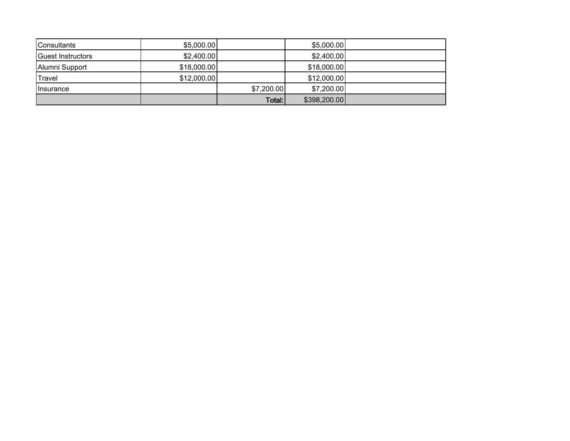| <b>Consultants</b> | \$5,000.00] |            | \$5,000.00]  |  |
|--------------------|-------------|------------|--------------|--|
| Guest Instructors  | \$2,400.00  |            | \$2,400.00   |  |
| Alumni Support     | \$18,000.00 |            | \$18,000.00  |  |
| Travel             | \$12,000.00 |            | \$12,000.00] |  |
| <b>Ilnsurance</b>  |             | \$7,200.00 | \$7,200.00   |  |
|                    |             | Total:     | \$398,200.00 |  |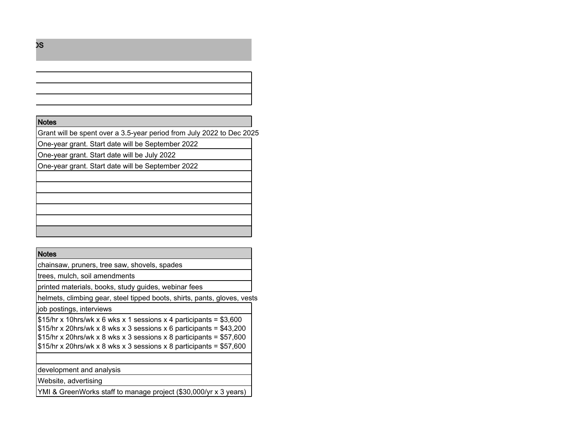#### **Notes**

Grant will be spent over a 3.5-year period from July 2022 to Dec 2025

One-year grant. Start date will be September 2022

One-year grant. Start date will be July 2022

One-year grant. Start date will be September 2022

#### **Notes**

chainsaw, pruners, tree saw, shovels, spades

trees, mulch, soil amendments

printed materials, books, study guides, webinar fees

helmets, climbing gear, steel tipped boots, shirts, pants, gloves, vests

job postings, interviews

 $\frac{1}{515/hr}$  x 10hrs/wk x 6 wks x 1 sessions x 4 participants = \$3,600  $\frac{1}{2}$  \$15/hr x 20hrs/wk x 8 wks x 3 sessions x 6 participants = \$43,200  $$15/hr$  x 20hrs/wk x 8 wks x 3 sessions x 8 participants = \$57,600  $\frac{1}{315/hr}$  x 20hrs/wk x 8 wks x 3 sessions x 8 participants = \$57,600

development and analysis

Website, advertising

YMI & GreenWorks staff to manage project (\$30,000/yr x 3 years)

**BUNCOMBE COUNTY AMERICAN RESCUE PLAN ACT FUNDS**